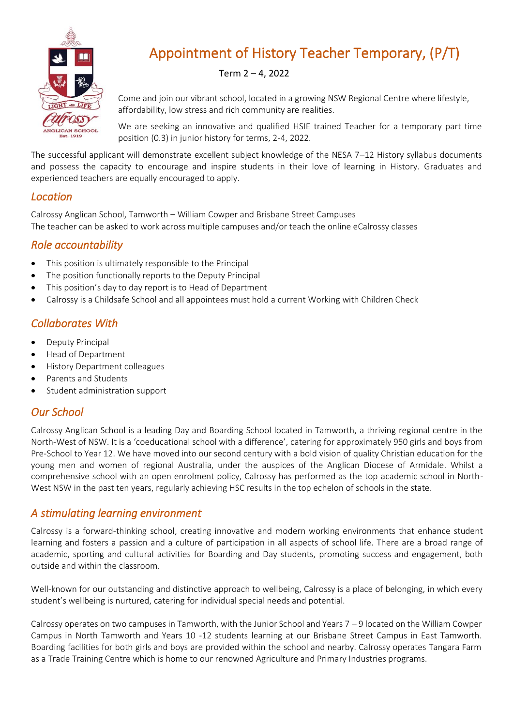

# Appointment of History Teacher Temporary, (P/T)

#### Term 2 – 4, 2022

Come and join our vibrant school, located in a growing NSW Regional Centre where lifestyle, affordability, low stress and rich community are realities.

We are seeking an innovative and qualified HSIE trained Teacher for a temporary part time position (0.3) in junior history for terms, 2-4, 2022.

The successful applicant will demonstrate excellent subject knowledge of the NESA 7–12 History syllabus documents and possess the capacity to encourage and inspire students in their love of learning in History. Graduates and experienced teachers are equally encouraged to apply.

#### *Location*

Calrossy Anglican School, Tamworth – William Cowper and Brisbane Street Campuses The teacher can be asked to work across multiple campuses and/or teach the online eCalrossy classes

#### *Role accountability*

- This position is ultimately responsible to the Principal
- The position functionally reports to the Deputy Principal
- This position's day to day report is to Head of Department
- Calrossy is a Childsafe School and all appointees must hold a current Working with Children Check

#### *Collaborates With*

- Deputy Principal
- Head of Department
- History Department colleagues
- Parents and Students
- Student administration support

#### *Our School*

Calrossy Anglican School is a leading Day and Boarding School located in Tamworth, a thriving regional centre in the North-West of NSW. It is a 'coeducational school with a difference', catering for approximately 950 girls and boys from Pre-School to Year 12. We have moved into our second century with a bold vision of quality Christian education for the young men and women of regional Australia, under the auspices of the Anglican Diocese of Armidale. Whilst a comprehensive school with an open enrolment policy, Calrossy has performed as the top academic school in North-West NSW in the past ten years, regularly achieving HSC results in the top echelon of schools in the state.

#### *A stimulating learning environment*

Calrossy is a forward-thinking school, creating innovative and modern working environments that enhance student learning and fosters a passion and a culture of participation in all aspects of school life. There are a broad range of academic, sporting and cultural activities for Boarding and Day students, promoting success and engagement, both outside and within the classroom.

Well-known for our outstanding and distinctive approach to wellbeing, Calrossy is a place of belonging, in which every student's wellbeing is nurtured, catering for individual special needs and potential.

Calrossy operates on two campuses in Tamworth, with the Junior School and Years 7 – 9 located on the William Cowper Campus in North Tamworth and Years 10 -12 students learning at our Brisbane Street Campus in East Tamworth. Boarding facilities for both girls and boys are provided within the school and nearby. Calrossy operates Tangara Farm as a Trade Training Centre which is home to our renowned Agriculture and Primary Industries programs.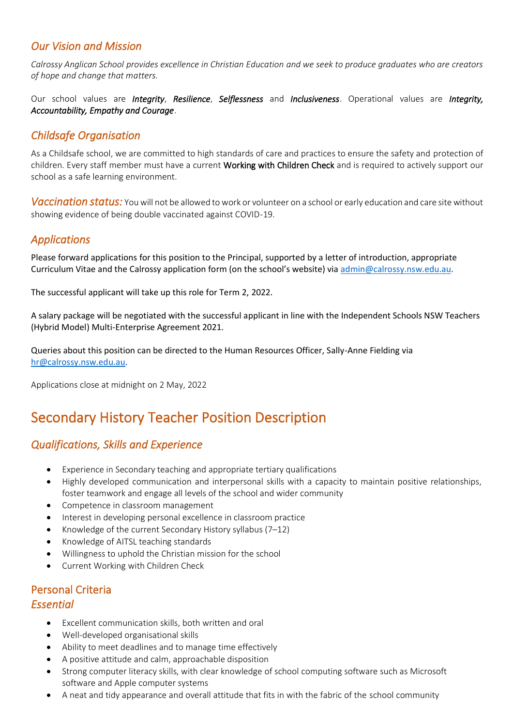#### *Our Vision and Mission*

*Calrossy Anglican School provides excellence in Christian Education and we seek to produce graduates who are creators of hope and change that matters.* 

Our school values are *Integrity*, *Resilience*, *Selflessness* and *Inclusiveness*. Operational values are *Integrity, Accountability, Empathy and Courage*.

#### *Childsafe Organisation*

As a Childsafe school, we are committed to high standards of care and practices to ensure the safety and protection of children. Every staff member must have a current Working with Children Check and is required to actively support our school as a safe learning environment.

*Vaccination status:* You will not be allowed to work or volunteer on a school or early education and care site without showing evidence of being double vaccinated against COVID-19.

#### *Applications*

Please forward applications for this position to the Principal, supported by a letter of introduction, appropriate Curriculum Vitae and the Calrossy application form (on the school's website) via [admin@calrossy.nsw.edu.au.](mailto:admin@calrossy.nsw.edu.au) 

The successful applicant will take up this role for Term 2, 2022.

A salary package will be negotiated with the successful applicant in line with the Independent Schools NSW Teachers (Hybrid Model) Multi-Enterprise Agreement 2021.

Queries about this position can be directed to the Human Resources Officer, Sally-Anne Fielding via [hr@calrossy.nsw.edu.au.](mailto:hr@calrossy.nsw.edu.au)

Applications close at midnight on 2 May, 2022

## Secondary History Teacher Position Description

## *Qualifications, Skills and Experience*

- Experience in Secondary teaching and appropriate tertiary qualifications
- Highly developed communication and interpersonal skills with a capacity to maintain positive relationships, foster teamwork and engage all levels of the school and wider community
- Competence in classroom management
- Interest in developing personal excellence in classroom practice
- Knowledge of the current Secondary History syllabus  $(7-12)$
- Knowledge of AITSL teaching standards
- Willingness to uphold the Christian mission for the school
- Current Working with Children Check

## Personal Criteria *Essential*

- Excellent communication skills, both written and oral
- Well-developed organisational skills
- Ability to meet deadlines and to manage time effectively
- A positive attitude and calm, approachable disposition
- Strong computer literacy skills, with clear knowledge of school computing software such as Microsoft software and Apple computer systems
- A neat and tidy appearance and overall attitude that fits in with the fabric of the school community